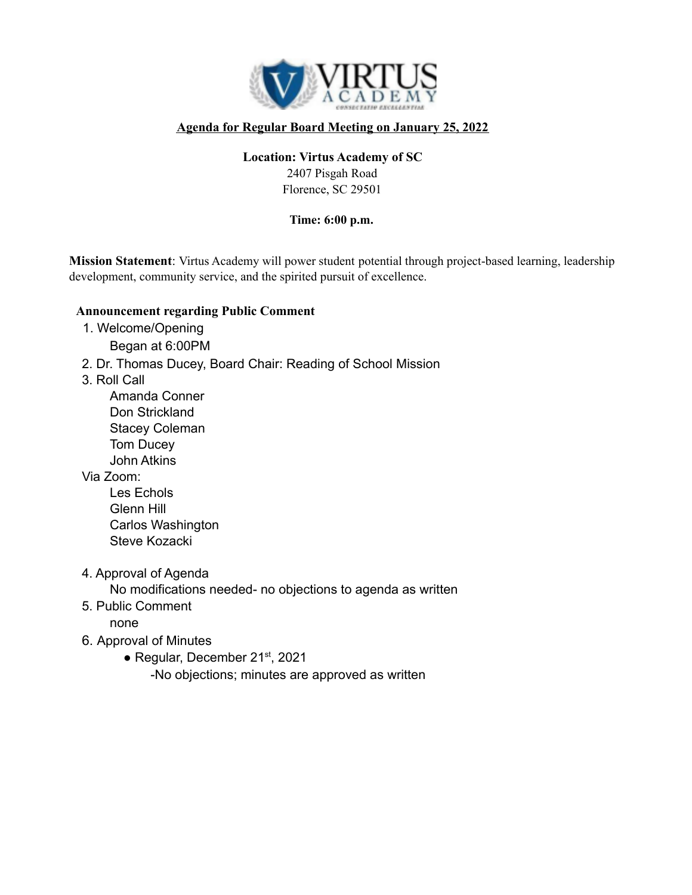

## **Agenda for Regular Board Meeting on January 25, 2022**

### **Location: Virtus Academy of SC**

2407 Pisgah Road Florence, SC 29501

#### **Time: 6:00 p.m.**

**Mission Statement**: Virtus Academy will power student potential through project-based learning, leadership development, community service, and the spirited pursuit of excellence.

#### **Announcement regarding Public Comment**

- 1. Welcome/Opening Began at 6:00PM
- 2. Dr. Thomas Ducey, Board Chair: Reading of School Mission
- 3. Roll Call
	- Amanda Conner Don Strickland Stacey Coleman Tom Ducey John Atkins

### Via Zoom:

- Les Echols Glenn Hill Carlos Washington Steve Kozacki
- 4. Approval of Agenda

No modifications needed- no objections to agenda as written

5. Public Comment

none

- 6. Approval of Minutes
	- Regular, December 21<sup>st</sup>, 2021

-No objections; minutes are approved as written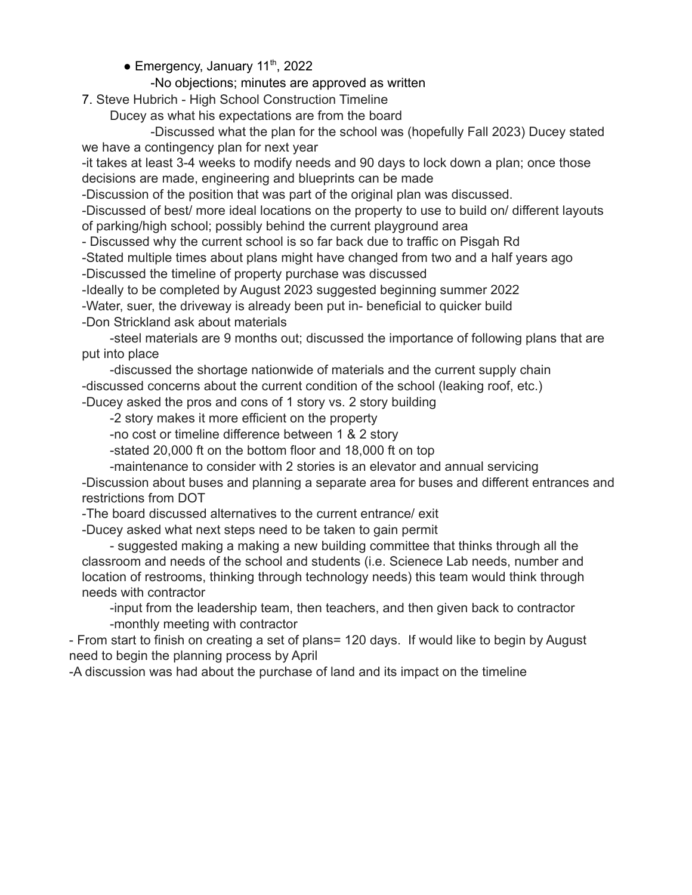• Emergency, January 11<sup>th</sup>, 2022

### -No objections; minutes are approved as written

7. Steve Hubrich - High School Construction Timeline

Ducey as what his expectations are from the board

-Discussed what the plan for the school was (hopefully Fall 2023) Ducey stated we have a contingency plan for next year

-it takes at least 3-4 weeks to modify needs and 90 days to lock down a plan; once those decisions are made, engineering and blueprints can be made

-Discussion of the position that was part of the original plan was discussed.

-Discussed of best/ more ideal locations on the property to use to build on/ different layouts of parking/high school; possibly behind the current playground area

- Discussed why the current school is so far back due to traffic on Pisgah Rd

-Stated multiple times about plans might have changed from two and a half years ago

-Discussed the timeline of property purchase was discussed

-Ideally to be completed by August 2023 suggested beginning summer 2022

-Water, suer, the driveway is already been put in- beneficial to quicker build

-Don Strickland ask about materials

-steel materials are 9 months out; discussed the importance of following plans that are put into place

-discussed the shortage nationwide of materials and the current supply chain -discussed concerns about the current condition of the school (leaking roof, etc.) -Ducey asked the pros and cons of 1 story vs. 2 story building

-2 story makes it more efficient on the property

-no cost or timeline difference between 1 & 2 story

-stated 20,000 ft on the bottom floor and 18,000 ft on top

-maintenance to consider with 2 stories is an elevator and annual servicing

-Discussion about buses and planning a separate area for buses and different entrances and restrictions from DOT

-The board discussed alternatives to the current entrance/ exit

-Ducey asked what next steps need to be taken to gain permit

- suggested making a making a new building committee that thinks through all the classroom and needs of the school and students (i.e. Scienece Lab needs, number and location of restrooms, thinking through technology needs) this team would think through needs with contractor

-input from the leadership team, then teachers, and then given back to contractor -monthly meeting with contractor

- From start to finish on creating a set of plans= 120 days. If would like to begin by August need to begin the planning process by April

-A discussion was had about the purchase of land and its impact on the timeline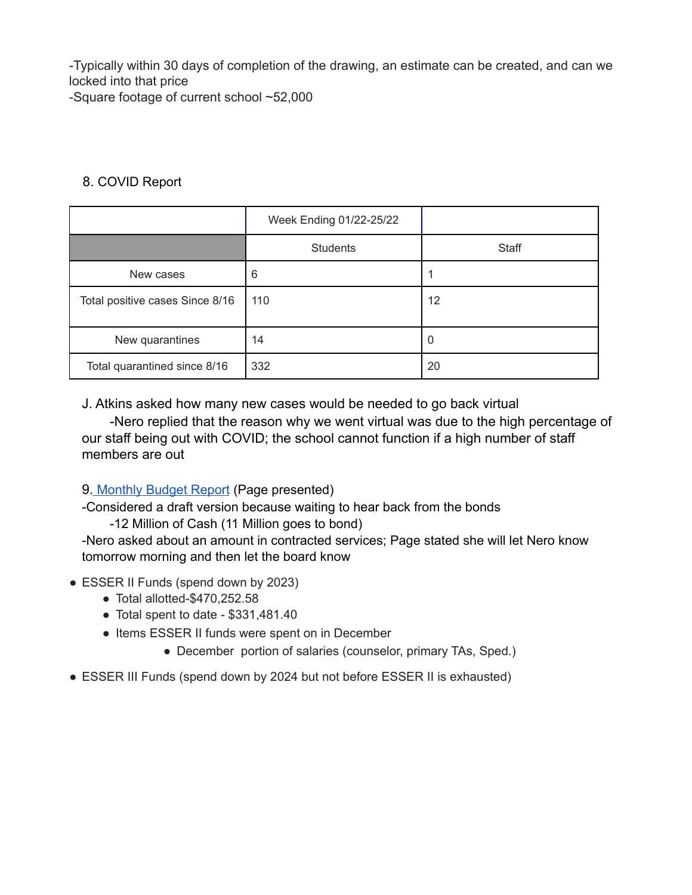-Typically within 30 days of completion of the drawing, an estimate can be created, and can we locked into that price -Square footage of current school ~52,000

# 8. COVID Report

|                                 | Week Ending 01/22-25/22 |          |
|---------------------------------|-------------------------|----------|
|                                 | <b>Students</b>         | Staff    |
| New cases                       | 6                       |          |
| Total positive cases Since 8/16 | 110                     | 12       |
| New quarantines                 | 14                      | $\Omega$ |
| Total quarantined since 8/16    | 332                     | 20       |

J. Atkins asked how many new cases would be needed to go back virtual

-Nero replied that the reason why we went virtual was due to the high percentage of our staff being out with COVID; the school cannot function if a high number of staff members are out

9. [Monthly](https://drive.google.com/file/d/1k-0M7Vvya0Cq87XCBxV3mZOjTID--ott/view) Budget Report (Page presented)

-Considered a draft version because waiting to hear back from the bonds

-12 Million of Cash (11 Million goes to bond)

-Nero asked about an amount in contracted services; Page stated she will let Nero know tomorrow morning and then let the board know

- ESSER II Funds (spend down by 2023)
	- $\bullet$  Total allotted-\$470,252.58
	- Total spent to date \$331,481.40
	- Items ESSER II funds were spent on in December
		- December portion of salaries (counselor, primary TAs, Sped.)
- ESSER III Funds (spend down by 2024 but not before ESSER II is exhausted)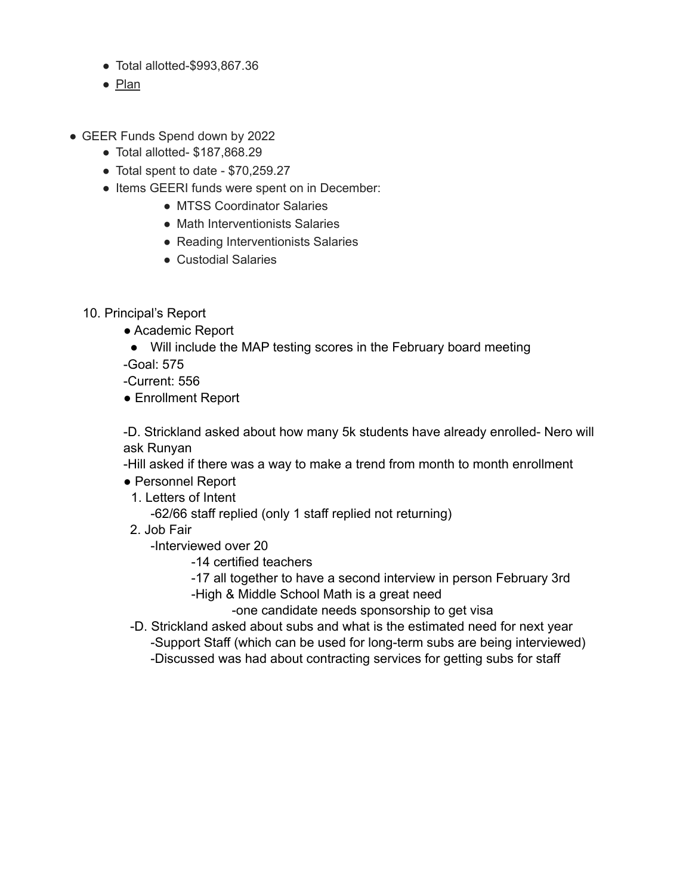- Total allotted-\$993,867.36
- [Plan](https://docs.google.com/spreadsheets/d/1aVa8NCL63AsIeZ3jhtWO-WQjiOtEnbtKUoJH6W76cOA/edit?usp=sharing)
- GEER Funds Spend down by 2022
	- Total allotted- \$187,868.29
	- Total spent to date \$70,259.27
	- Items GEERI funds were spent on in December:
		- MTSS Coordinator Salaries
		- Math Interventionists Salaries
		- Reading Interventionists Salaries
		- Custodial Salaries
	- 10. Principal's Report
		- Academic Report
		- Will include the MAP testing scores in the February board meeting

-Goal: 575

-Current: 556

● Enrollment Report

-D. Strickland asked about how many 5k students have already enrolled- Nero will ask Runyan

-Hill asked if there was a way to make a trend from month to month enrollment

- Personnel Report
	- 1. Letters of Intent

-62/66 staff replied (only 1 staff replied not returning)

2. Job Fair

-Interviewed over 20

- -14 certified teachers
- -17 all together to have a second interview in person February 3rd
- -High & Middle School Math is a great need

-one candidate needs sponsorship to get visa

- -D. Strickland asked about subs and what is the estimated need for next year -Support Staff (which can be used for long-term subs are being interviewed)
	- -Discussed was had about contracting services for getting subs for staff